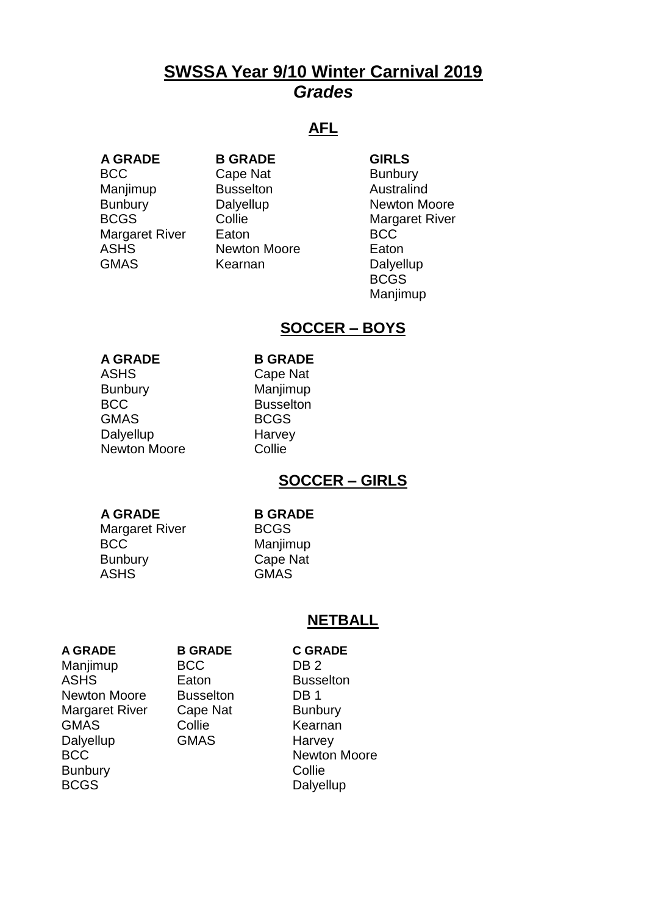# **SWSSA Year 9/10 Winter Carnival 2019** *Grades*

## **AFL**

**A GRADE B GRADE GIRLS** BCC Cape Nat Bunbury Manjimup **Busselton** Australind Margaret River Eaton BCC<br>
ASHS Mewton Moore Eator GMAS Kearnan Dalyellup

Newton Moore **Eaton** 

Bunbury Dalyellup Newton Moore BCGS Collie Margaret River BCGS Manjimup

## **SOCCER – BOYS**

### **A GRADE B GRADE**

ASHS Cape Nat Bunbury Manjimup BCC Busselton GMAS BCGS Dalyellup Harvey Newton Moore **Collie** 

## **SOCCER – GIRLS**

### **A GRADE B GRADE**

Margaret River BCGS BCC Manjimup Bunbury Cape Nat ASHS GMAS

### **NETBALL**

### **A GRADE B GRADE C GRADE**

Manjimup BCC DB 2 ASHS Eaton Busselton Newton Moore Busselton DB 1 Margaret River Cape Nat Bunbury GMAS Collie Kearnan Dalyellup **GMAS** Harvey BCC Newton Moore Bunbury **Collie** BCGS Dalyellup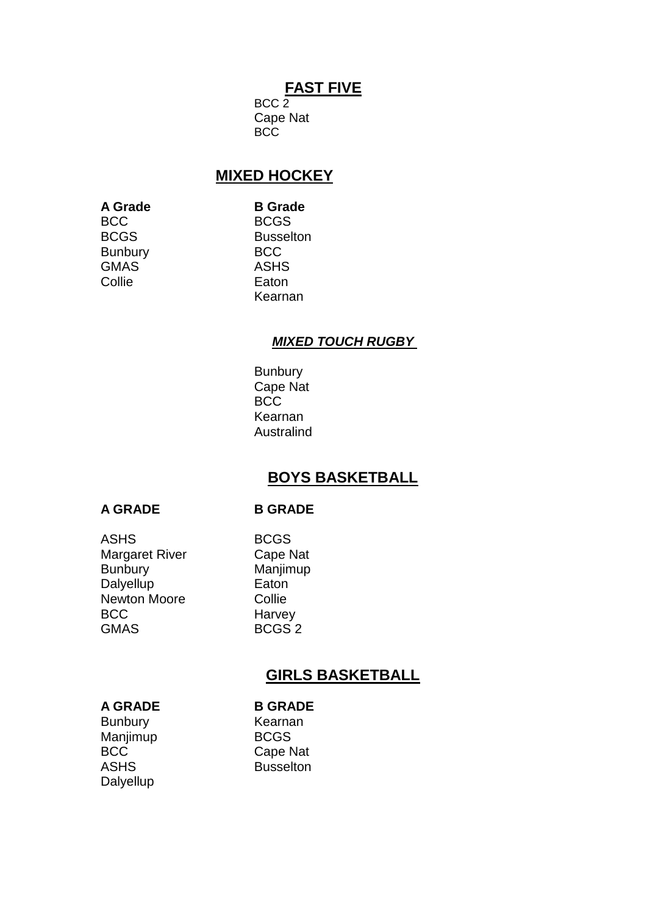## **FAST FIVE**

 $BCC$ <sub>2</sub> Cape Nat BCC

## **MIXED HOCKEY**

**A Grade B Grade**  BCC BCGS Bunbury BCC GMAS ASHS Collie **Eaton** 

BCGS Busselton Kearnan

### *MIXED TOUCH RUGBY*

**Bunbury** Cape Nat BCC Kearnan **Australind** 

## **BOYS BASKETBALL**

### **A GRADE B GRADE**

ASHS BCGS Margaret River Cape Nat Bunbury Manjimup Dalyellup **Eaton** Newton Moore Collie BCC Harvey GMAS BCGS 2

## **GIRLS BASKETBALL**

### **A GRADE B GRADE**

Bunbury Kearnan Manjimup BCGS BCC Cape Nat ASHS Busselton **Dalyellup**